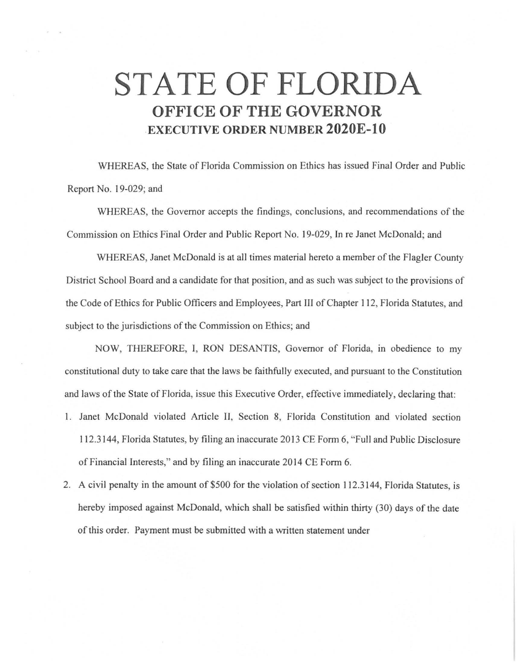## **STATE OF FLORIDA OFFICE OF THE GOVERNOR -EXECUTIVE ORDER NUMBER 2020E-10**

WHEREAS, the State of Florida Commission on Ethics has issued Final Order and Public Report No. 19-029; and

WHEREAS, the Governor accepts the findings, conclusions, and recommendations of the Commission on Ethics Final Order and Public Report No. 19-029, In re Janet McDonald; and

WHEREAS, Janet McDonald is at all times material hereto a member of the Flagler County District School Board and a candidate for that position, and as such was subject to the provisions of the Code of Ethics for Public Officers and Employees, Part III of Chapter 112, Florida Statutes, and subject to the jurisdictions of the Commission on Ethics; and

NOW, THEREFORE, I, RON DESANTIS, Governor of Florida, in obedience to my constitutional duty to take care that the laws be faithfully executed, and pursuant to the Constitution and laws of the State of Florida, issue this Executive Order, effective immediately, declaring that: 1. Janet McDonald violated Article II, Section 8, Florida Constitution and violated section 112.3144, Florida Statutes, by filing an inaccurate 2013 CE Form 6, "Full and Public Disclosure of Financial Interests," and by filing an inaccurate 2014 CE Form 6.

2. A civil penalty in the amount of \$500 for the violation of section 112.3144, Florida Statutes, is hereby imposed against McDonald, which shall be satisfied within thirty (30) days of the date of this order. Payment must be submitted with a written statement under